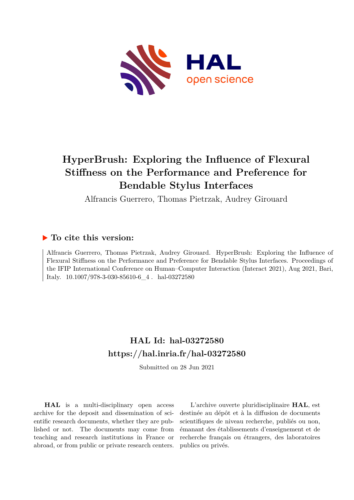

# **HyperBrush: Exploring the Influence of Flexural Stiffness on the Performance and Preference for Bendable Stylus Interfaces**

Alfrancis Guerrero, Thomas Pietrzak, Audrey Girouard

# **To cite this version:**

Alfrancis Guerrero, Thomas Pietrzak, Audrey Girouard. HyperBrush: Exploring the Influence of Flexural Stiffness on the Performance and Preference for Bendable Stylus Interfaces. Proceedings of the IFIP International Conference on Human–Computer Interaction (Interact 2021), Aug 2021, Bari, Italy. 10.1007/978-3-030-85610-6\_4. hal-03272580

# **HAL Id: hal-03272580 <https://hal.inria.fr/hal-03272580>**

Submitted on 28 Jun 2021

**HAL** is a multi-disciplinary open access archive for the deposit and dissemination of scientific research documents, whether they are published or not. The documents may come from teaching and research institutions in France or abroad, or from public or private research centers.

L'archive ouverte pluridisciplinaire **HAL**, est destinée au dépôt et à la diffusion de documents scientifiques de niveau recherche, publiés ou non, émanant des établissements d'enseignement et de recherche français ou étrangers, des laboratoires publics ou privés.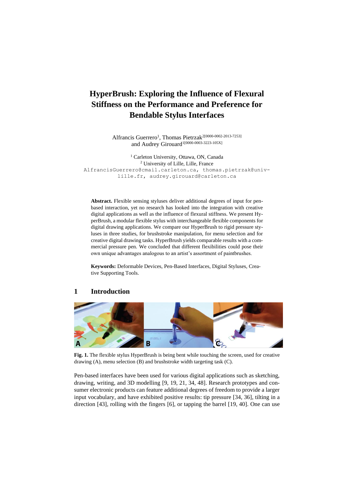# **HyperBrush: Exploring the Influence of Flexural Stiffness on the Performance and Preference for Bendable Stylus Interfaces**

Alfrancis Guerrero<sup>1</sup>, Thomas Pietrzak<sup>2[0000-0002-2013-7253]</sup> and Audrey Girouard<sup>1[0000-0003-3223-105X]</sup>

<sup>1</sup> Carleton University, Ottawa, ON, Canada <sup>2</sup> University of Lille, Lille, France AlfrancisGuerrero@cmail.carleton.ca, thomas.pietrzak@univlille.fr, audrey.girouard@carleton.ca

**Abstract.** Flexible sensing styluses deliver additional degrees of input for penbased interaction, yet no research has looked into the integration with creative digital applications as well as the influence of flexural stiffness. We present HyperBrush, a modular flexible stylus with interchangeable flexible components for digital drawing applications. We compare our HyperBrush to rigid pressure styluses in three studies, for brushstroke manipulation, for menu selection and for creative digital drawing tasks. HyperBrush yields comparable results with a commercial pressure pen. We concluded that different flexibilities could pose their own unique advantages analogous to an artist's assortment of paintbrushes.

**Keywords:** Deformable Devices, Pen-Based Interfaces, Digital Styluses, Creative Supporting Tools.

# **1 Introduction**



**Fig. 1.** The flexible stylus HyperBrush is being bent while touching the screen, used for creative drawing (A), menu selection (B) and brushstroke width targeting task (C).

<span id="page-1-0"></span>Pen-based interfaces have been used for various digital applications such as sketching, drawing, writing, and 3D modelling [9, 19, 21, 34, 48]. Research prototypes and consumer electronic products can feature additional degrees of freedom to provide a larger input vocabulary, and have exhibited positive results: tip pressure [34, 36], tilting in a direction [43], rolling with the fingers [6], or tapping the barrel [19, 40]. One can use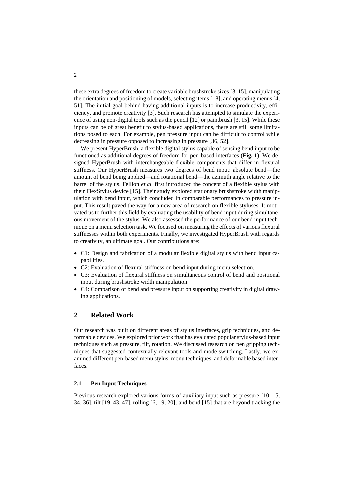these extra degrees of freedom to create variable brushstroke sizes [3, 15], manipulating the orientation and positioning of models, selecting items [18], and operating menus [4, 51]. The initial goal behind having additional inputs is to increase productivity, efficiency, and promote creativity [3]. Such research has attempted to simulate the experience of using non-digital tools such as the pencil [12] or paintbrush [3, 15]. While these inputs can be of great benefit to stylus-based applications, there are still some limitations posed to each. For example, pen pressure input can be difficult to control while decreasing in pressure opposed to increasing in pressure [36, 52].

We present HyperBrush, a flexible digital stylus capable of sensing bend input to be functioned as additional degrees of freedom for pen-based interfaces (**[Fig. 1](#page-1-0)**). We designed HyperBrush with interchangeable flexible components that differ in flexural stiffness. Our HyperBrush measures two degrees of bend input: absolute bend—the amount of bend being applied—and rotational bend—the azimuth angle relative to the barrel of the stylus. Fellion *et al.* first introduced the concept of a flexible stylus with their FlexStylus device [15]. Their study explored stationary brushstroke width manipulation with bend input, which concluded in comparable performances to pressure input. This result paved the way for a new area of research on flexible styluses. It motivated us to further this field by evaluating the usability of bend input during simultaneous movement of the stylus. We also assessed the performance of our bend input technique on a menu selection task. We focused on measuring the effects of various flexural stiffnesses within both experiments. Finally, we investigated HyperBrush with regards to creativity, an ultimate goal. Our contributions are:

- C1: Design and fabrication of a modular flexible digital stylus with bend input capabilities.
- C2: Evaluation of flexural stiffness on bend input during menu selection.
- C3: Evaluation of flexural stiffness on simultaneous control of bend and positional input during brushstroke width manipulation.
- C4: Comparison of bend and pressure input on supporting creativity in digital drawing applications.

# **2 Related Work**

Our research was built on different areas of stylus interfaces, grip techniques, and deformable devices. We explored prior work that has evaluated popular stylus-based input techniques such as pressure, tilt, rotation. We discussed research on pen gripping techniques that suggested contextually relevant tools and mode switching. Lastly, we examined different pen-based menu stylus, menu techniques, and deformable based interfaces.

#### **2.1 Pen Input Techniques**

Previous research explored various forms of auxiliary input such as pressure [10, 15, 34, 36], tilt [19, 43, 47], rolling [6, 19, 20], and bend [15] that are beyond tracking the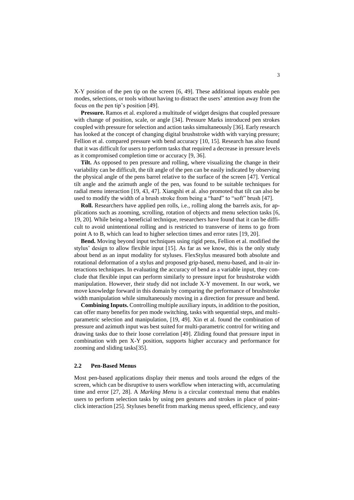X-Y position of the pen tip on the screen [6, 49]. These additional inputs enable pen modes, selections, or tools without having to distract the users' attention away from the focus on the pen tip's position [49].

**Pressure.** Ramos et al. explored a multitude of widget designs that coupled pressure with change of position, scale, or angle [34]. Pressure Marks introduced pen strokes coupled with pressure for selection and action tasks simultaneously [36]. Early research has looked at the concept of changing digital brushstroke width with varying pressure; Fellion et al. compared pressure with bend accuracy [10, 15]. Research has also found that it was difficult for users to perform tasks that required a decrease in pressure levels as it compromised completion time or accuracy [9, 36].

**Tilt.** As opposed to pen pressure and rolling, where visualizing the change in their variability can be difficult, the tilt angle of the pen can be easily indicated by observing the physical angle of the pens barrel relative to the surface of the screen [47]. Vertical tilt angle and the azimuth angle of the pen, was found to be suitable techniques for radial menu interaction [19, 43, 47]. Xiangshi et al. also promoted that tilt can also be used to modify the width of a brush stroke from being a "hard" to "soft" brush [47].

**Roll.** Researchers have applied pen rolls, i.e., rolling along the barrels axis, for applications such as zooming, scrolling, rotation of objects and menu selection tasks [6, 19, 20]. While being a beneficial technique, researchers have found that it can be difficult to avoid unintentional rolling and is restricted to transverse of items to go from point A to B, which can lead to higher selection times and error rates [19, 20].

**Bend.** Moving beyond input techniques using rigid pens, Fellion et al. modified the stylus' design to allow flexible input [15]. As far as we know, this is the only study about bend as an input modality for styluses. FlexStylus measured both absolute and rotational deformation of a stylus and proposed grip-based, menu-based, and in-air interactions techniques. In evaluating the accuracy of bend as a variable input, they conclude that flexible input can perform similarly to pressure input for brushstroke width manipulation. However, their study did not include X-Y movement. In our work, we move knowledge forward in this domain by comparing the performance of brushstroke width manipulation while simultaneously moving in a direction for pressure and bend.

**Combining Inputs.** Controlling multiple auxiliary inputs, in addition to the position, can offer many benefits for pen mode switching, tasks with sequential steps, and multiparametric selection and manipulation, [19, 49]. Xin et al. found the combination of pressure and azimuth input was best suited for multi-parametric control for writing and drawing tasks due to their loose correlation [49]. Zliding found that pressure input in combination with pen X-Y position, supports higher accuracy and performance for zooming and sliding tasks[35].

#### **2.2 Pen-Based Menus**

Most pen-based applications display their menus and tools around the edges of the screen, which can be disruptive to users workflow when interacting with, accumulating time and error [27, 28]. A *Marking Menu* is a circular contextual menu that enables users to perform selection tasks by using pen gestures and strokes in place of pointclick interaction [25]. Styluses benefit from marking menus speed, efficiency, and easy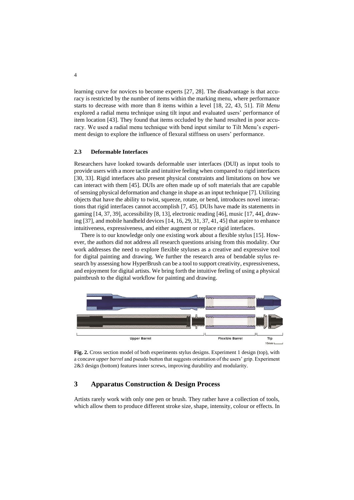learning curve for novices to become experts [27, 28]. The disadvantage is that accuracy is restricted by the number of items within the marking menu, where performance starts to decrease with more than 8 items within a level [18, 22, 43, 51]. *Tilt Menu*  explored a radial menu technique using tilt input and evaluated users' performance of item location [43]. They found that items occluded by the hand resulted in poor accuracy. We used a radial menu technique with bend input similar to Tilt Menu's experiment design to explore the influence of flexural stiffness on users' performance.

#### **2.3 Deformable Interfaces**

Researchers have looked towards deformable user interfaces (DUI) as input tools to provide users with a more tactile and intuitive feeling when compared to rigid interfaces [30, 33]. Rigid interfaces also present physical constraints and limitations on how we can interact with them [45]. DUIs are often made up of soft materials that are capable of sensing physical deformation and change in shape as an input technique [7]. Utilizing objects that have the ability to twist, squeeze, rotate, or bend, introduces novel interactions that rigid interfaces cannot accomplish [7, 45]. DUIs have made its statements in gaming [14, 37, 39], accessibility [8, 13], electronic reading [46], music [17, 44], drawing [37], and mobile handheld devices [14, 16, 29, 31, 37, 41, 45] that aspire to enhance intuitiveness, expressiveness, and either augment or replace rigid interfaces.

There is to our knowledge only one existing work about a flexible stylus [15]. However, the authors did not address all research questions arising from this modality. Our work addresses the need to explore flexible styluses as a creative and expressive tool for digital painting and drawing. We further the research area of bendable stylus research by assessing how HyperBrush can be a tool to support creativity, expressiveness, and enjoyment for digital artists. We bring forth the intuitive feeling of using a physical paintbrush to the digital workflow for painting and drawing.



<span id="page-4-0"></span>**Fig. 2.** Cross section model of both experiments stylus designs. Experiment 1 design (top), with a concave *upper barrel* and pseudo button that suggests orientation of the users' grip. Experiment 2&3 design (bottom) features inner screws, improving durability and modularity.

# **3 Apparatus Construction & Design Process**

Artists rarely work with only one pen or brush. They rather have a collection of tools, which allow them to produce different stroke size, shape, intensity, colour or effects. In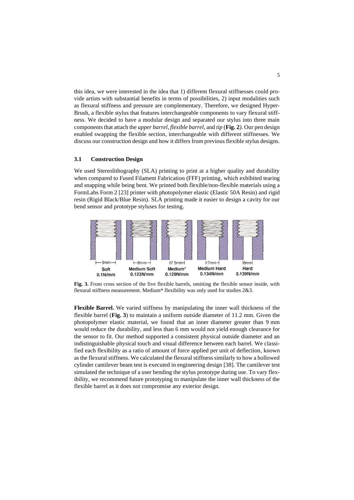this idea, we were interested in the idea that 1) different flexural stiffnesses could provide artists with substantial benefits in terms of possibilities, 2) input modalities such as flexural stiffness and pressure are complementary. Therefore, we designed Hyper-Brush, a flexible stylus that features interchangeable components to vary flexural stiffness. We decided to have a modular design and separated our stylus into three main components that attach the *upper barrel*, *flexible barrel*, and *tip* (**[Fig. 2](#page-4-0)***).* Our pen design enabled swapping the flexible section, interchangeable with different stiffnesses. We discuss our construction design and how it differs from previous flexible stylus designs.

#### **3.1 Construction Design**

We used Stereolithography (SLA) printing to print at a higher quality and durability when compared to Fused Filament Fabrication (FFF) printing, which exhibited tearing and snapping while being bent. We printed both flexible/non-flexible materials using a FormLabs Form 2 [23] printer with photopolymer elastic (Elastic 50A Resin) and rigid resin (Rigid Black/Blue Resin). SLA printing made it easier to design a cavity for our bend sensor and prototype styluses for testing.



<span id="page-5-0"></span>**Fig. 3.** Front cross section of the five flexible barrels, omitting the flexible sensor inside, with flexural stiffness measurement. Medium\* flexibility was only used for studies 2&3.

**Flexible Barrel.** We varied stiffness by manipulating the inner wall thickness of the flexible barrel (**[Fig. 3](#page-5-0)**) to maintain a uniform outside diameter of 11.2 mm. Given the photopolymer elastic material, we found that an inner diameter greater than 9 mm would reduce the durability, and less than 6 mm would not yield enough clearance for the sensor to fit. Our method supported a consistent physical outside diameter and an indistinguishable physical touch and visual difference between each barrel. We classified each flexibility as a ratio of amount of force applied per unit of deflection, known as the flexural stiffness. We calculated the flexural stiffness similarly to how a hollowed cylinder cantilever beam test is executed in engineering design [38]. The cantilever test simulated the technique of a user bending the stylus prototype during use. To vary flexibility, we recommend future prototyping to manipulate the inner wall thickness of the flexible barrel as it does not compromise any exterior design.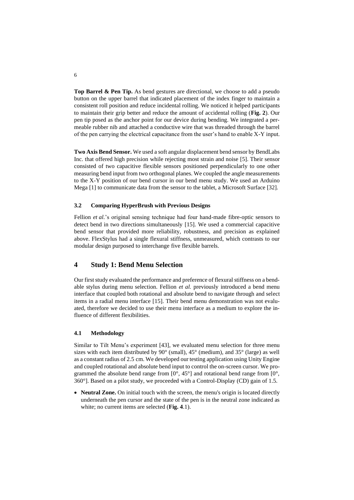**Top Barrel & Pen Tip.** As bend gestures are directional, we choose to add a pseudo button on the upper barrel that indicated placement of the index finger to maintain a consistent roll position and reduce incidental rolling. We noticed it helped participants to maintain their grip better and reduce the amount of accidental rolling (**[Fig. 2](#page-4-0)**). Our pen tip posed as the anchor point for our device during bending. We integrated a permeable rubber nib and attached a conductive wire that was threaded through the barrel of the pen carrying the electrical capacitance from the user's hand to enable X-Y input.

**Two Axis Bend Sensor.** We used a soft angular displacement bend sensor by BendLabs Inc. that offered high precision while rejecting most strain and noise [5]. Their sensor consisted of two capacitive flexible sensors positioned perpendicularly to one other measuring bend input from two orthogonal planes. We coupled the angle measurements to the X-Y position of our bend cursor in our bend menu study. We used an Arduino Mega [1] to communicate data from the sensor to the tablet, a Microsoft Surface [32].

### **3.2 Comparing HyperBrush with Previous Designs**

Fellion *et al.*'s original sensing technique had four hand-made fibre-optic sensors to detect bend in two directions simultaneously [15]. We used a commercial capacitive bend sensor that provided more reliability, robustness, and precision as explained above. FlexStylus had a single flexural stiffness, unmeasured, which contrasts to our modular design purposed to interchange five flexible barrels.

# **4 Study 1: Bend Menu Selection**

Our first study evaluated the performance and preference of flexural stiffness on a bendable stylus during menu selection. Fellion *et al.* previously introduced a bend menu interface that coupled both rotational and absolute bend to navigate through and select items in a radial menu interface [15]. Their bend menu demonstration was not evaluated, therefore we decided to use their menu interface as a medium to explore the influence of different flexibilities.

#### **4.1 Methodology**

Similar to Tilt Menu's experiment [43], we evaluated menu selection for three menu sizes with each item distributed by  $90^{\circ}$  (small),  $45^{\circ}$  (medium), and  $35^{\circ}$  (large) as well as a constant radius of 2.5 cm. We developed our testing application using Unity Engine and coupled rotational and absolute bend input to control the on-screen cursor. We programmed the absolute bend range from  $[0^{\circ}, 45^{\circ}]$  and rotational bend range from  $[0^{\circ}, 45^{\circ}]$ 360°]. Based on a pilot study, we proceeded with a Control-Display (CD) gain of 1.5.

• **Neutral Zone.** On initial touch with the screen, the menu's origin is located directly underneath the pen cursor and the state of the pen is in the neutral zone indicated as white; no current items are selected (**[Fig. 4](#page-7-0)**.1).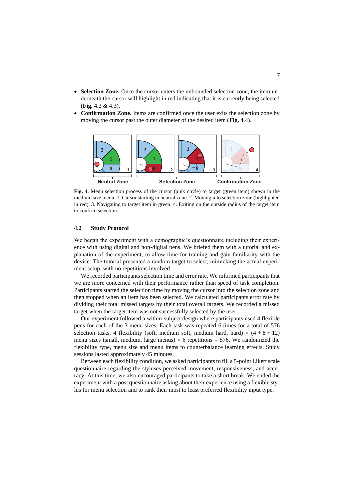- **Selection Zone.** Once the cursor enters the unbounded selection zone, the item underneath the cursor will highlight in red indicating that it is currently being selected (**[Fig. 4](#page-7-0)**.2 & 4.3).
- **Confirmation Zone.** Items are confirmed once the user exits the selection zone by moving the cursor past the outer diameter of the desired item (**[Fig. 4](#page-7-0)**.4).



<span id="page-7-0"></span>**Fig. 4.** Menu selection process of the cursor (pink circle) to target (green item) shown in the medium size menu. 1. Cursor starting in neutral zone. 2. Moving into selection zone (highlighted in red). 3. Navigating to target item in green. 4. Exiting on the outside radius of the target item to confirm selection.

#### **4.2 Study Protocol**

We began the experiment with a demographic's questionnaire including their experience with using digital and non-digital pens. We briefed them with a tutorial and explanation of the experiment, to allow time for training and gain familiarity with the device. The tutorial presented a random target to select, mimicking the actual experiment setup, with no repetitions involved.

We recorded participants selection time and error rate. We informed participants that we are more concerned with their performance rather than speed of task completion. Participants started the selection time by moving the cursor into the selection zone and then stopped when an item has been selected. We calculated participants error rate by dividing their total missed targets by their total overall targets. We recorded a missed target when the target item was not successfully selected by the user.

Our experiment followed a within-subject design where participants used 4 flexible pens for each of the 3 menu sizes. Each task was repeated 6 times for a total of 576 selection tasks, 4 flexibility (soft, medium soft, medium hard, hard)  $\times$  (4 + 8 + 12) menu sizes (small, medium, large menus)  $\times$  6 repetitions = 576. We randomized the flexibility type, menu size and menu items to counterbalance learning effects. Study sessions lasted approximately 45 minutes.

Between each flexibility condition, we asked participants to fill a 5-point Likert scale questionnaire regarding the styluses perceived movement, responsiveness, and accuracy. At this time, we also encouraged participants to take a short break. We ended the experiment with a post questionnaire asking about their experience using a flexible stylus for menu selection and to rank their most to least preferred flexibility input type.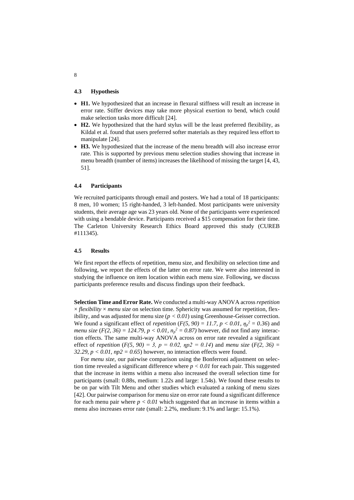#### **4.3 Hypothesis**

- **H1.** We hypothesized that an increase in flexural stiffness will result an increase in error rate. Stiffer devices may take more physical exertion to bend, which could make selection tasks more difficult [24].
- **H2.** We hypothesized that the hard stylus will be the least preferred flexibility, as Kildal et al. found that users preferred softer materials as they required less effort to manipulate [24].
- **H3.** We hypothesized that the increase of the menu breadth will also increase error rate. This is supported by previous menu selection studies showing that increase in menu breadth (number of items) increases the likelihood of missing the target [4, 43, 51].

#### **4.4 Participants**

We recruited participants through email and posters. We had a total of 18 participants: 8 men, 10 women; 15 right-handed, 3 left-handed. Most participants were university students, their average age was 23 years old. None of the participants were experienced with using a bendable device. Participants received a \$15 compensation for their time. The Carleton University Research Ethics Board approved this study (CUREB #111345).

#### **4.5 Results**

We first report the effects of repetition, menu size, and flexibility on selection time and following, we report the effects of the latter on error rate. We were also interested in studying the influence on item location within each menu size. Following, we discuss participants preference results and discuss findings upon their feedback.

**Selection Time and Error Rate.** We conducted a multi-way ANOVA across *repetition*  $\times$  *flexibility*  $\times$  *menu size* on selection time. Sphericity was assumed for repetition, flexibility, and was adjusted for menu size  $(p < 0.01)$  using Greenhouse-Geisser correction. We found a significant effect of *repetition*  $(F(5, 90) = 11.7, p < 0.01, \eta_p^2 = 0.36)$  and *menu size*  $(F(2, 36) = 124.79, p < 0.01, n_p^2 = 0.87)$  however, did not find any interaction effects. The same multi-way ANOVA across on error rate revealed a significant effect of *repetition*  $(F(5, 90) = 3, p = 0.02, \eta p2 = 0.14)$  and *menu size*  $(F(2, 36) =$ 32.29,  $p < 0.01$ ,  $np2 = 0.65$ ) however, no interaction effects were found.

For *menu size*, our pairwise comparison using the Bonferroni adjustment on selection time revealed a significant difference where  $p < 0.01$  for each pair. This suggested that the increase in items within a menu also increased the overall selection time for participants (small: 0.88s, medium: 1.22s and large: 1.54s). We found these results to be on par with Tilt Menu and other studies which evaluated a ranking of menu sizes [42]. Our pairwise comparison for menu size on error rate found a significant difference for each menu pair where  $p < 0.01$  which suggested that an increase in items within a menu also increases error rate (small: 2.2%, medium: 9.1% and large: 15.1%).

#### 8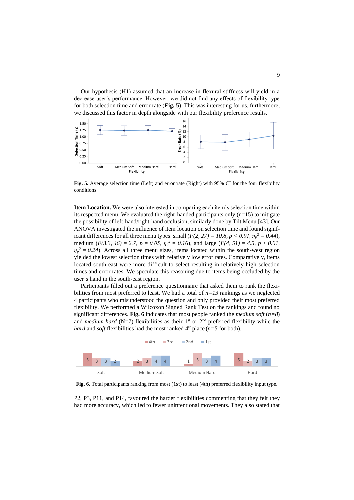Our hypothesis (H1) assumed that an increase in flexural stiffness will yield in a decrease user's performance. However, we did not find any effects of flexibility type for both selection time and error rate (**[Fig. 5](#page-9-0)**). This was interesting for us, furthermore, we discussed this factor in depth alongside with our flexibility preference results.



<span id="page-9-0"></span>**Fig. 5.** Average selection time (Left) and error rate (Right) with 95% CI for the four flexibility conditions.

**Item Location.** We were also interested in comparing each item's selection time within its respected menu. We evaluated the right-handed participants only (n=15) to mitigate the possibility of left-hand/right-hand occlusion, similarly done by Tilt Menu [43]. Our ANOVA investigated the influence of item location on selection time and found significant differences for all three menu types: small  $(F(2, 27) = 10.8, p < 0.01, \eta_p^2 = 0.44$ ), medium  $(F(3.3, 46) = 2.7, p = 0.05, \eta_p^2 = 0.16)$ , and large  $(F(4, 51) = 4.5, p < 0.01,$  $\eta_p^2 = 0.24$ ). Across all three menu sizes, items located within the south-west region yielded the lowest selection times with relatively low error rates. Comparatively, items located south-east were more difficult to select resulting in relatively high selection times and error rates. We speculate this reasoning due to items being occluded by the user's hand in the south-east region.

Participants filled out a preference questionnaire that asked them to rank the flexibilities from most preferred to least. We had a total of  $n=13$  rankings as we neglected 4 participants who misunderstood the question and only provided their most preferred flexibility. We performed a Wilcoxon Signed Rank Test on the rankings and found no significant differences. **[Fig. 6](#page-9-1)** indicates that most people ranked the *medium soft*  $(n=8)$ and *medium hard* (N=7) flexibilities as their  $1<sup>st</sup>$  or  $2<sup>nd</sup>$  preferred flexibility while the *hard* and *soft* flexibilities had the most ranked  $4<sup>th</sup>$  place ( $n=5$  for both).



<span id="page-9-1"></span>**Fig. 6.** Total participants ranking from most (1st) to least (4th) preferred flexibility input type.

P2, P3, P11, and P14, favoured the harder flexibilities commenting that they felt they had more accuracy, which led to fewer unintentional movements. They also stated that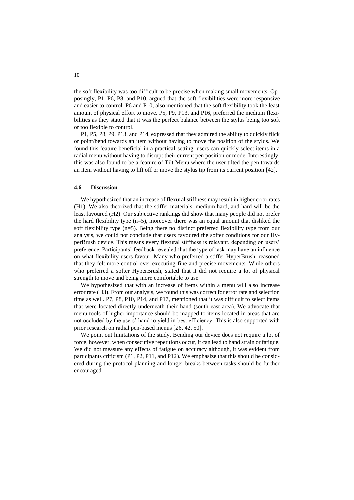the soft flexibility was too difficult to be precise when making small movements. Opposingly, P1, P6, P8, and P10, argued that the soft flexibilities were more responsive and easier to control. P6 and P10, also mentioned that the soft flexibility took the least amount of physical effort to move. P5, P9, P13, and P16, preferred the medium flexibilities as they stated that it was the perfect balance between the stylus being too soft or too flexible to control.

P1, P5, P8, P9, P13, and P14, expressed that they admired the ability to quickly flick or point/bend towards an item without having to move the position of the stylus. We found this feature beneficial in a practical setting, users can quickly select items in a radial menu without having to disrupt their current pen position or mode. Interestingly, this was also found to be a feature of Tilt Menu where the user tilted the pen towards an item without having to lift off or move the stylus tip from its current position [42].

#### **4.6 Discussion**

We hypothesized that an increase of flexural stiffness may result in higher error rates (H1). We also theorized that the stiffer materials, medium hard, and hard will be the least favoured (H2). Our subjective rankings did show that many people did not prefer the hard flexibility type (n=5), moreover there was an equal amount that disliked the soft flexibility type (n=5). Being there no distinct preferred flexibility type from our analysis, we could not conclude that users favoured the softer conditions for our HyperBrush device. This means every flexural stiffness is relevant, depending on users' preference. Participants' feedback revealed that the type of task may have an influence on what flexibility users favour. Many who preferred a stiffer HyperBrush, reasoned that they felt more control over executing fine and precise movements. While others who preferred a softer HyperBrush, stated that it did not require a lot of physical strength to move and being more comfortable to use.

We hypothesized that with an increase of items within a menu will also increase error rate (H3). From our analysis, we found this was correct for error rate and selection time as well. P7, P8, P10, P14, and P17, mentioned that it was difficult to select items that were located directly underneath their hand (south-east area). We advocate that menu tools of higher importance should be mapped to items located in areas that are not occluded by the users' hand to yield in best efficiency. This is also supported with prior research on radial pen-based menus [26, 42, 50].

We point out limitations of the study. Bending our device does not require a lot of force, however, when consecutive repetitions occur, it can lead to hand strain or fatigue. We did not measure any effects of fatigue on accuracy although, it was evident from participants criticism (P1, P2, P11, and P12). We emphasize that this should be considered during the protocol planning and longer breaks between tasks should be further encouraged.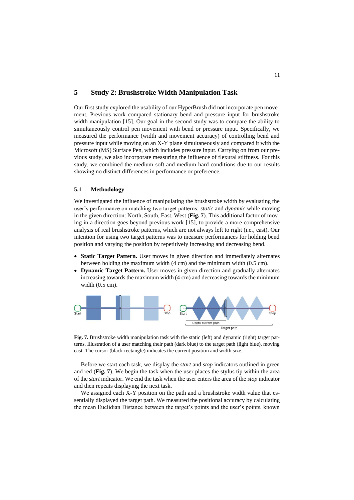### **5 Study 2: Brushstroke Width Manipulation Task**

Our first study explored the usability of our HyperBrush did not incorporate pen movement. Previous work compared stationary bend and pressure input for brushstroke width manipulation [15]. Our goal in the second study was to compare the ability to simultaneously control pen movement with bend or pressure input. Specifically, we measured the performance (width and movement accuracy) of controlling bend and pressure input while moving on an X-Y plane simultaneously and compared it with the Microsoft (MS) Surface Pen, which includes pressure input. Carrying on from our previous study, we also incorporate measuring the influence of flexural stiffness. For this study, we combined the medium-soft and medium-hard conditions due to our results showing no distinct differences in performance or preference.

#### **5.1 Methodology**

We investigated the influence of manipulating the brushstroke width by evaluating the user's performance on matching two target patterns: *static* and *dynamic* while moving in the given direction: North, South, East, West (**[Fig. 7](#page-11-0)**). This additional factor of moving in a direction goes beyond previous work [15], to provide a more comprehensive analysis of real brushstroke patterns, which are not always left to right (i.e., east). Our intention for using two target patterns was to measure performances for holding bend position and varying the position by repetitively increasing and decreasing bend.

- **Static Target Pattern.** User moves in given direction and immediately alternates between holding the maximum width (4 cm) and the minimum width (0.5 cm).
- **Dynamic Target Pattern.** User moves in given direction and gradually alternates increasing towards the maximum width (4 cm) and decreasing towards the minimum width (0.5 cm).



<span id="page-11-0"></span>**Fig. 7.** Brushstroke width manipulation task with the static (left) and dynamic (right) target patterns. Illustration of a user matching their path (dark blue) to the target path (light blue), moving east. The cursor (black rectangle) indicates the current position and width size.

Before we start each task, we display the *start* and *stop* indicators outlined in green and red (**[Fig. 7](#page-11-0)**). We begin the task when the user places the stylus tip within the area of the *start* indicator. We end the task when the user enters the area of the *stop* indicator and then repeats displaying the next task.

We assigned each X-Y position on the path and a brushstroke width value that essentially displayed the target path. We measured the positional accuracy by calculating the mean Euclidian Distance between the target's points and the user's points, known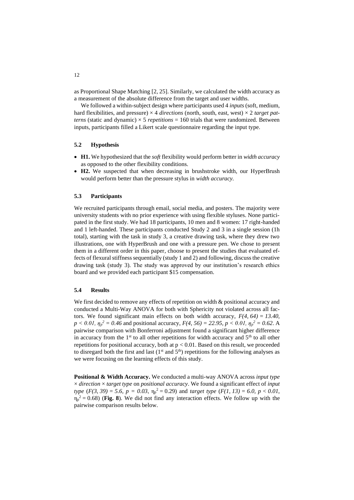as Proportional Shape Matching [2, 25]. Similarly, we calculated the width accuracy as a measurement of the absolute difference from the target and user widths.

We followed a within-subject design where participants used 4 *inputs* (soft, medium, hard flexibilities, and pressure)  $\times$  4 *directions* (north, south, east, west)  $\times$  2 *target patterns* (static and dynamic)  $\times$  5 *repetitions* = 160 trials that were randomized. Between inputs, participants filled a Likert scale questionnaire regarding the input type.

#### **5.2 Hypothesis**

- **H1.** We hypothesized that the *soft* flexibility would perform better in *width accuracy* as opposed to the other flexibility conditions.
- **H2.** We suspected that when decreasing in brushstroke width, our HyperBrush would perform better than the pressure stylus in *width accuracy.*

#### <span id="page-12-0"></span>**5.3 Participants**

We recruited participants through email, social media, and posters. The majority were university students with no prior experience with using flexible styluses. None participated in the first study. We had 18 participants, 10 men and 8 women: 17 right-handed and 1 left-handed. These participants conducted Study 2 and 3 in a single session (1h total), starting with the task in study 3, a creative drawing task, where they drew two illustrations, one with HyperBrush and one with a pressure pen. We chose to present them in a different order in this paper, choose to present the studies that evaluated effects of flexural stiffness sequentially (study 1 and 2) and following, discuss the creative drawing task (study 3). The study was approved by our institution's research ethics board and we provided each participant \$15 compensation.

#### **5.4 Results**

We first decided to remove any effects of repetition on width & positional accuracy and conducted a Multi-Way ANOVA for both with Sphericity not violated across all factors. We found significant main effects on both width accuracy,  $F(4, 64) = 13.40$ ,  $p < 0.01$ ,  $\eta_p^2 = 0.46$  and positional accuracy,  $F(4, 56) = 22.95$ ,  $p < 0.01$ ,  $\eta_p^2 = 0.62$ . A pairwise comparison with Bonferroni adjustment found a significant higher difference in accuracy from the  $1<sup>st</sup>$  to all other repetitions for width accuracy and  $5<sup>th</sup>$  to all other repetitions for positional accuracy, both at  $p < 0.01$ . Based on this result, we proceeded to disregard both the first and last  $(1<sup>st</sup>$  and  $5<sup>th</sup>)$  repetitions for the following analyses as we were focusing on the learning effects of this study.

**Positional & Width Accuracy.** We conducted a multi-way ANOVA across *input type* × *direction* × *target type* on *positional accuracy*. We found a significant effect of *input type*  $(F(3, 39) = 5.6, p = 0.03, \eta_p^2 = 0.29)$  and *target type*  $(F(1, 13) = 6.0, p < 0.01,$  $\eta_p^2 = 0.68$ ) (**[Fig. 8](#page-13-0)**). We did not find any interaction effects. We follow up with the pairwise comparison results below.

12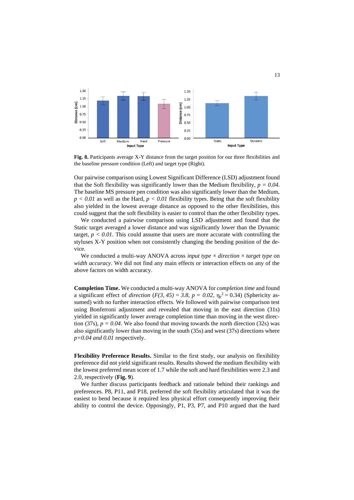

<span id="page-13-0"></span>**Fig. 8.** Participants average X-Y distance from the target position for our three flexibilities and the baseline pressure condition (Left) and target type (Right).

Our pairwise comparison using Lowest Significant Difference (LSD) adjustment found that the Soft flexibility was significantly lower than the Medium flexibility,  $p = 0.04$ . The baseline MS pressure pen condition was also significantly lower than the Medium,  $p < 0.01$  as well as the Hard,  $p < 0.01$  flexibility types. Being that the soft flexibility also yielded in the lowest average distance as opposed to the other flexibilities, this could suggest that the soft flexibility is easier to control than the other flexibility types.

We conducted a pairwise comparison using LSD adjustment and found that the Static target averaged a lower distance and was significantly lower than the Dynamic target,  $p < 0.01$ . This could assume that users are more accurate with controlling the styluses X-Y position when not consistently changing the bending position of the device.

We conducted a multi-way ANOVA across *input type*  $\times$  *direction*  $\times$  *target type* on *width accuracy*. We did not find any main effects or interaction effects on any of the above factors on width accuracy.

**Completion Time.** We conducted a multi-way ANOVA for *completion time* and found a significant effect of *direction*  $(F(3, 45) = 3.8, p = 0.02, \eta_p^2 = 0.34)$  (Sphericity assumed) with no further interaction effects. We followed with pairwise comparison test using Bonferroni adjustment and revealed that moving in the east direction (31s) yielded in significantly lower average completion time than moving in the west direction (37s),  $p = 0.04$ . We also found that moving towards the north direction (32s) was also significantly lower than moving in the south (35s) and west (37s) directions where *p=0.04 and 0.01* respectively.

**Flexibility Preference Results.** Similar to the first study, our analysis on flexibility preference did not yield significant results. Results showed the medium flexibility with the lowest preferred mean score of 1.7 while the soft and hard flexibilities were 2.3 and 2.0, respectively (**[Fig. 9](#page-14-0)**).

We further discuss participants feedback and rationale behind their rankings and preferences. P8, P11, and P18, preferred the soft flexibility articulated that it was the easiest to bend because it required less physical effort consequently improving their ability to control the device. Opposingly, P1, P3, P7, and P10 argued that the hard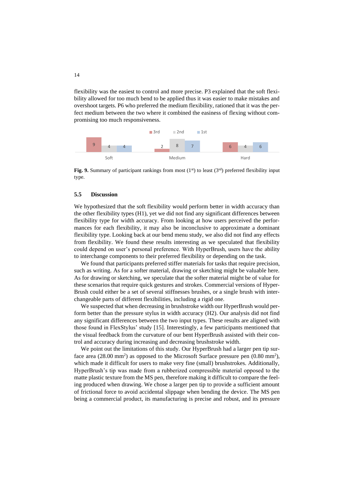flexibility was the easiest to control and more precise. P3 explained that the soft flexibility allowed for too much bend to be applied thus it was easier to make mistakes and overshoot targets. P6 who preferred the medium flexibility, rationed that it was the perfect medium between the two where it combined the easiness of flexing without compromising too much responsiveness.



<span id="page-14-0"></span>Fig. 9. Summary of participant rankings from most (1<sup>st</sup>) to least (3<sup>rd</sup>) preferred flexibility input type.

#### **5.5 Discussion**

We hypothesized that the soft flexibility would perform better in width accuracy than the other flexibility types (H1), yet we did not find any significant differences between flexibility type for width accuracy. From looking at how users perceived the performances for each flexibility, it may also be inconclusive to approximate a dominant flexibility type. Looking back at our bend menu study, we also did not find any effects from flexibility. We found these results interesting as we speculated that flexibility could depend on user's personal preference. With HyperBrush, users have the ability to interchange components to their preferred flexibility or depending on the task.

We found that participants preferred stiffer materials for tasks that require precision, such as writing. As for a softer material, drawing or sketching might be valuable here. As for drawing or sketching, we speculate that the softer material might be of value for these scenarios that require quick gestures and strokes. Commercial versions of Hyper-Brush could either be a set of several stiffnesses brushes, or a single brush with interchangeable parts of different flexibilities, including a rigid one.

We suspected that when decreasing in brushstroke width our HyperBrush would perform better than the pressure stylus in width accuracy (H2). Our analysis did not find any significant differences between the two input types. These results are aligned with those found in FlexStylus' study [15]. Interestingly, a few participants mentioned that the visual feedback from the curvature of our bent HyperBrush assisted with their control and accuracy during increasing and decreasing brushstroke width.

We point out the limitations of this study. Our HyperBrush had a larger pen tip surface area  $(28.00 \text{ mm}^2)$  as opposed to the Microsoft Surface pressure pen  $(0.80 \text{ mm}^2)$ , which made it difficult for users to make very fine (small) brushstrokes. Additionally, HyperBrush's tip was made from a rubberized compressible material opposed to the matte plastic texture from the MS pen, therefore making it difficult to compare the feeling produced when drawing. We chose a larger pen tip to provide a sufficient amount of frictional force to avoid accidental slippage when bending the device. The MS pen being a commercial product, its manufacturing is precise and robust, and its pressure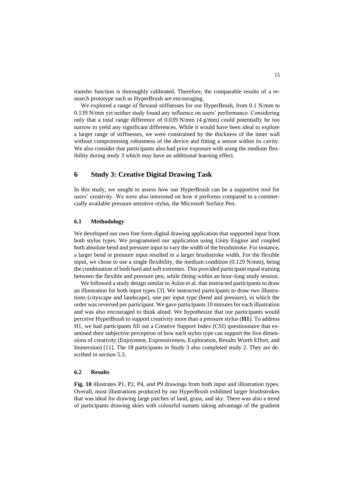transfer function is thoroughly calibrated. Therefore, the comparable results of a research prototype such as HyperBrush are encouraging.

We explored a range of flexural stiffnesses for our HyperBrush, from 0.1 N/mm to 0.139 N/mm yet neither study found any influence on users' performance. Considering only that a total range difference of 0.039 N/mm  $(4 \text{ g/mm})$  could potentially be too narrow to yield any significant differences. While it would have been ideal to explore a larger range of stiffnesses, we were constrained by the thickness of the inner wall without compromising robustness of the device and fitting a sensor within its cavity. We also consider that participants also had prior exposure with using the medium flexibility during study 3 which may have an additional learning effect.

# **6 Study 3: Creative Digital Drawing Task**

In this study, we sought to assess how our HyperBrush can be a supportive tool for users' creativity. We were also interested on how it performs compared to a commercially available pressure sensitive stylus, the Microsoft Surface Pen.

#### **6.1 Methodology**

We developed our own free form digital drawing application that supported input from both stylus types. We programmed our application using Unity Engine and coupled both absolute bend and pressure input to vary the width of the brushstroke. For instance, a larger bend or pressure input resulted in a larger brushstroke width. For the flexible input, we chose to use a single flexibility, the medium condition (0.129 N/mm), being the combination of both hard and soft extremes. This provided participant equal training between the flexible and pressure pen, while fitting within an hour-long study session.

We followed a study design similar to Aslan et al. that instructed participants to draw an illustration for both input types [3]. We instructed participants to draw two illustrations (cityscape and landscape), one per input type (bend and pressure), in which the order was reversed per participant. We gave participants 10 minutes for each illustration and was also encouraged to think aloud. We hypothesize that our participants would perceive HyperBrush to support creativity more than a pressure stylus (**H1**). To address H1, we had participants fill out a Creative Support Index (CSI) questionnaire that examined their subjective perception of how each stylus type can support the five dimensions of creativity (Enjoyment, Expressiveness, Exploration, Results Worth Effort, and Immersion) [11]. The 18 participants in Study 3 also completed study 2. They are described in section [5.3.](#page-12-0)

#### **6.2 Results**

**[Fig. 10](#page-16-0)** illustrates P1, P2, P4, and P9 drawings from both input and illustration types. Overall, most illustrations produced by our HyperBrush exhibited larger brushstrokes that was ideal for drawing large patches of land, grass, and sky. There was also a trend of participants drawing skies with colourful sunsets taking advantage of the gradient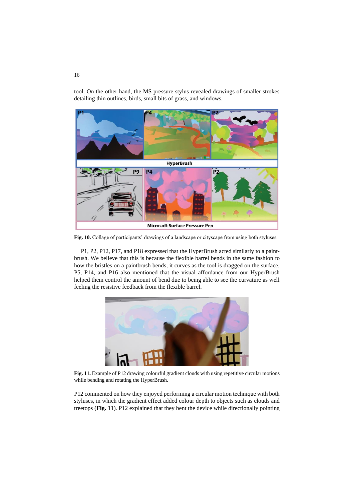tool. On the other hand, the MS pressure stylus revealed drawings of smaller strokes detailing thin outlines, birds, small bits of grass, and windows.



<span id="page-16-0"></span>**Fig. 10.** Collage of participants' drawings of a landscape or cityscape from using both styluses.

P1, P2, P12, P17, and P18 expressed that the HyperBrush acted similarly to a paintbrush. We believe that this is because the flexible barrel bends in the same fashion to how the bristles on a paintbrush bends, it curves as the tool is dragged on the surface. P5, P14, and P16 also mentioned that the visual affordance from our HyperBrush helped them control the amount of bend due to being able to see the curvature as well feeling the resistive feedback from the flexible barrel.



**Fig. 11.** Example of P12 drawing colourful gradient clouds with using repetitive circular motions while bending and rotating the HyperBrush.

<span id="page-16-1"></span>P12 commented on how they enjoyed performing a circular motion technique with both styluses, in which the gradient effect added colour depth to objects such as clouds and treetops (**[Fig. 11](#page-16-1)**). P12 explained that they bent the device while directionally pointing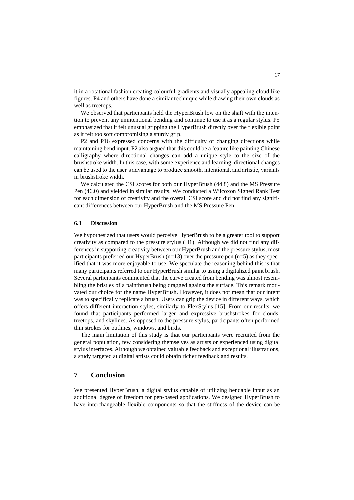it in a rotational fashion creating colourful gradients and visually appealing cloud like figures. P4 and others have done a similar technique while drawing their own clouds as well as treetops.

We observed that participants held the HyperBrush low on the shaft with the intention to prevent any unintentional bending and continue to use it as a regular stylus. P5 emphasized that it felt unusual gripping the HyperBrush directly over the flexible point as it felt too soft compromising a sturdy grip.

P2 and P16 expressed concerns with the difficulty of changing directions while maintaining bend input. P2 also argued that this could be a feature like painting Chinese calligraphy where directional changes can add a unique style to the size of the brushstroke width. In this case, with some experience and learning, directional changes can be used to the user's advantage to produce smooth, intentional, and artistic, variants in brushstroke width.

We calculated the CSI scores for both our HyperBrush (44.8) and the MS Pressure Pen (46.0) and yielded in similar results. We conducted a Wilcoxon Signed Rank Test for each dimension of creativity and the overall CSI score and did not find any significant differences between our HyperBrush and the MS Pressure Pen.

#### **6.3 Discussion**

We hypothesized that users would perceive HyperBrush to be a greater tool to support creativity as compared to the pressure stylus (H1). Although we did not find any differences in supporting creativity between our HyperBrush and the pressure stylus, most participants preferred our HyperBrush  $(n=13)$  over the pressure pen  $(n=5)$  as they specified that it was more enjoyable to use. We speculate the reasoning behind this is that many participants referred to our HyperBrush similar to using a digitalized paint brush. Several participants commented that the curve created from bending was almost resembling the bristles of a paintbrush being dragged against the surface. This remark motivated our choice for the name HyperBrush. However, it does not mean that our intent was to specifically replicate a brush. Users can grip the device in different ways, which offers different interaction styles, similarly to FlexStylus [15]. From our results, we found that participants performed larger and expressive brushstrokes for clouds, treetops, and skylines. As opposed to the pressure stylus, participants often performed thin strokes for outlines, windows, and birds.

The main limitation of this study is that our participants were recruited from the general population, few considering themselves as artists or experienced using digital stylus interfaces. Although we obtained valuable feedback and exceptional illustrations, a study targeted at digital artists could obtain richer feedback and results.

# **7 Conclusion**

We presented HyperBrush, a digital stylus capable of utilizing bendable input as an additional degree of freedom for pen-based applications. We designed HyperBrush to have interchangeable flexible components so that the stiffness of the device can be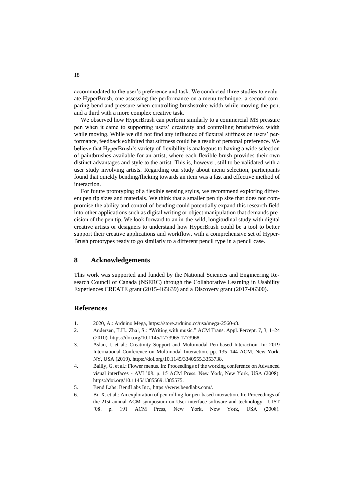accommodated to the user's preference and task. We conducted three studies to evaluate HyperBrush, one assessing the performance on a menu technique, a second comparing bend and pressure when controlling brushstroke width while moving the pen, and a third with a more complex creative task.

We observed how HyperBrush can perform similarly to a commercial MS pressure pen when it came to supporting users' creativity and controlling brushstroke width while moving. While we did not find any influence of flexural stiffness on users' performance, feedback exhibited that stiffness could be a result of personal preference. We believe that HyperBrush's variety of flexibility is analogous to having a wide selection of paintbrushes available for an artist, where each flexible brush provides their own distinct advantages and style to the artist. This is, however, still to be validated with a user study involving artists. Regarding our study about menu selection, participants found that quickly bending/flicking towards an item was a fast and effective method of interaction.

For future prototyping of a flexible sensing stylus, we recommend exploring different pen tip sizes and materials. We think that a smaller pen tip size that does not compromise the ability and control of bending could potentially expand this research field into other applications such as digital writing or object manipulation that demands precision of the pen tip. We look forward to an in-the-wild, longitudinal study with digital creative artists or designers to understand how HyperBrush could be a tool to better support their creative applications and workflow, with a comprehensive set of Hyper-Brush prototypes ready to go similarly to a different pencil type in a pencil case.

# **8 Acknowledgements**

This work was supported and funded by the National Sciences and Engineering Research Council of Canada (NSERC) through the Collaborative Learning in Usability Experiences CREATE grant (2015-465639) and a Discovery grant (2017-06300).

### **References**

- 1. 2020, A.: Arduino Mega, https://store.arduino.cc/usa/mega-2560-r3.
- 2. Andersen, T.H., Zhai, S.: "Writing with music." ACM Trans. Appl. Percept. 7, 3, 1–24 (2010). https://doi.org/10.1145/1773965.1773968.
- 3. Aslan, I. et al.: Creativity Support and Multimodal Pen-based Interaction. In: 2019 International Conference on Multimodal Interaction. pp. 135–144 ACM, New York, NY, USA (2019). https://doi.org/10.1145/3340555.3353738.
- 4. Bailly, G. et al.: Flower menus. In: Proceedings of the working conference on Advanced visual interfaces - AVI '08. p. 15 ACM Press, New York, New York, USA (2008). https://doi.org/10.1145/1385569.1385575.
- 5. Bend Labs: BendLabs Inc., https://www.bendlabs.com/.
- 6. Bi, X. et al.: An exploration of pen rolling for pen-based interaction. In: Proceedings of the 21st annual ACM symposium on User interface software and technology - UIST '08. p. 191 ACM Press, New York, New York, USA (2008).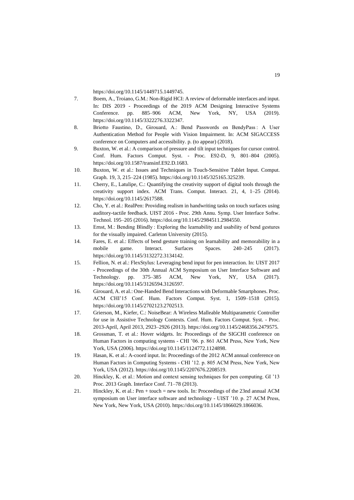https://doi.org/10.1145/1449715.1449745.

- 7. Boem, A., Troiano, G.M.: Non-Rigid HCI: A review of deformable interfaces and input. In: DIS 2019 - Proceedings of the 2019 ACM Designing Interactive Systems Conference. pp. 885–906 ACM, New York, NY, USA (2019). https://doi.org/10.1145/3322276.3322347.
- 8. Briotto Faustino, D., Girouard, A.: Bend Passwords on BendyPass: A User Authentication Method for People with Vision Impairment. In: ACM SIGACCESS conference on Computers and accessibility. p. (to appear) (2018).
- 9. Buxton, W. et al.: A comparison of pressure and tilt input techniques for cursor control. Conf. Hum. Factors Comput. Syst. - Proc. E92-D, 9, 801–804 (2005). https://doi.org/10.1587/transinf.E92.D.1683.
- 10. Buxton, W. et al.: Issues and Techniques in Touch-Sensitive Tablet Input. Comput. Graph. 19, 3, 215–224 (1985). https://doi.org/10.1145/325165.325239.
- 11. Cherry, E., Latulipe, C.: Quantifying the creativity support of digital tools through the creativity support index. ACM Trans. Comput. Interact. 21, 4, 1–25 (2014). https://doi.org/10.1145/2617588.
- 12. Cho, Y. et al.: RealPen: Providing realism in handwriting tasks on touch surfaces using auditory-tactile feedback. UIST 2016 - Proc. 29th Annu. Symp. User Interface Softw. Technol. 195–205 (2016). https://doi.org/10.1145/2984511.2984550.
- 13. Ernst, M.: Bending Blindly : Exploring the learnability and usability of bend gestures for the visually impaired. Carleton University (2015).
- 14. Fares, E. et al.: Effects of bend gesture training on learnability and memorability in a mobile game. Interact. Surfaces Spaces. 240–245 (2017). https://doi.org/10.1145/3132272.3134142.
- 15. Fellion, N. et al.: FlexStylus: Leveraging bend input for pen interaction. In: UIST 2017 - Proceedings of the 30th Annual ACM Symposium on User Interface Software and Technology. pp. 375–385 ACM, New York, NY, USA (2017). https://doi.org/10.1145/3126594.3126597.
- 16. Girouard, A. et al.: One-Handed Bend Interactions with Deformable Smartphones. Proc. ACM CHI'15 Conf. Hum. Factors Comput. Syst. 1, 1509–1518 (2015). https://doi.org/10.1145/2702123.2702513.
- 17. Grierson, M., Kiefer, C.: NoiseBear: A Wireless Malleable Multiparametric Controller for use in Assistive Technology Contexts. Conf. Hum. Factors Comput. Syst. - Proc. 2013-April, April 2013, 2923–2926 (2013). https://doi.org/10.1145/2468356.2479575.
- 18. Grossman, T. et al.: Hover widgets. In: Proceedings of the SIGCHI conference on Human Factors in computing systems - CHI '06. p. 861 ACM Press, New York, New York, USA (2006). https://doi.org/10.1145/1124772.1124898.
- 19. Hasan, K. et al.: A-coord input. In: Proceedings of the 2012 ACM annual conference on Human Factors in Computing Systems - CHI '12. p. 805 ACM Press, New York, New York, USA (2012). https://doi.org/10.1145/2207676.2208519.
- 20. Hinckley, K. et al.: Motion and context sensing techniques for pen computing. GI '13 Proc. 2013 Graph. Interface Conf. 71–78 (2013).
- 21. Hinckley, K. et al.: Pen + touch = new tools. In: Proceedings of the 23nd annual ACM symposium on User interface software and technology - UIST '10. p. 27 ACM Press, New York, New York, USA (2010). https://doi.org/10.1145/1866029.1866036.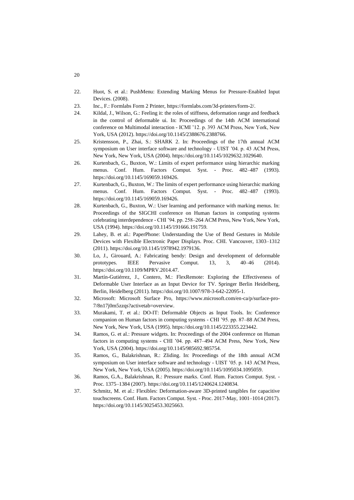- 22. Huot, S. et al.: PushMenu: Extending Marking Menus for Pressure-Enabled Input Devices. (2008).
- 23. Inc., F.: Formlabs Form 2 Printer, https://formlabs.com/3d-printers/form-2/.
- 24. Kildal, J., Wilson, G.: Feeling it: the roles of stiffness, deformation range and feedback in the control of deformable ui. In: Proceedings of the 14th ACM international conference on Multimodal interaction - ICMI '12. p. 393 ACM Press, New York, New York, USA (2012). https://doi.org/10.1145/2388676.2388766.
- 25. Kristensson, P., Zhai, S.: SHARK 2. In: Proceedings of the 17th annual ACM symposium on User interface software and technology - UIST '04. p. 43 ACM Press, New York, New York, USA (2004). https://doi.org/10.1145/1029632.1029640.
- 26. Kurtenbach, G., Buxton, W.: Limits of expert performance using hierarchic marking menus. Conf. Hum. Factors Comput. Syst. - Proc. 482–487 (1993). https://doi.org/10.1145/169059.169426.
- 27. Kurtenbach, G., Buxton, W.: The limits of expert performance using hierarchic marking menus. Conf. Hum. Factors Comput. Syst. - Proc. 482–487 (1993). https://doi.org/10.1145/169059.169426.
- 28. Kurtenbach, G., Buxton, W.: User learning and performance with marking menus. In: Proceedings of the SIGCHI conference on Human factors in computing systems celebrating interdependence - CHI '94. pp. 258–264 ACM Press, New York, New York, USA (1994). https://doi.org/10.1145/191666.191759.
- 29. Lahey, B. et al.: PaperPhone: Understanding the Use of Bend Gestures in Mobile Devices with Flexible Electronic Paper Displays. Proc. CHI. Vancouver, 1303–1312 (2011). https://doi.org/10.1145/1978942.1979136.
- 30. Lo, J., Girouard, A.: Fabricating bendy: Design and development of deformable prototypes. IEEE Pervasive Comput. 13, 3, 40–46 (2014). https://doi.org/10.1109/MPRV.2014.47.
- 31. Martín-Gutiérrez, J., Contero, M.: FlexRemote: Exploring the Effectiveness of Deformable User Interface as an Input Device for TV. Springer Berlin Heidelberg, Berlin, Heidelberg (2011). https://doi.org/10.1007/978-3-642-22095-1.
- 32. Microsoft: Microsoft Surface Pro, https://www.microsoft.com/en-ca/p/surface-pro-7/8n17j0m5zzqs?activetab=overview.
- 33. Murakami, T. et al.: DO-IT: Deformable Objects as Input Tools. In: Conference companion on Human factors in computing systems - CHI '95. pp. 87–88 ACM Press, New York, New York, USA (1995). https://doi.org/10.1145/223355.223442.
- 34. Ramos, G. et al.: Pressure widgets. In: Proceedings of the 2004 conference on Human factors in computing systems - CHI '04. pp. 487–494 ACM Press, New York, New York, USA (2004). https://doi.org/10.1145/985692.985754.
- 35. Ramos, G., Balakrishnan, R.: Zliding. In: Proceedings of the 18th annual ACM symposium on User interface software and technology - UIST '05. p. 143 ACM Press, New York, New York, USA (2005). https://doi.org/10.1145/1095034.1095059.
- 36. Ramos, G.A., Balakrishnan, R.: Pressure marks. Conf. Hum. Factors Comput. Syst. Proc. 1375–1384 (2007). https://doi.org/10.1145/1240624.1240834.
- 37. Schmitz, M. et al.: Flexibles: Deformation-aware 3D-printed tangibles for capacitive touchscreens. Conf. Hum. Factors Comput. Syst. - Proc. 2017-May, 1001–1014 (2017). https://doi.org/10.1145/3025453.3025663.

20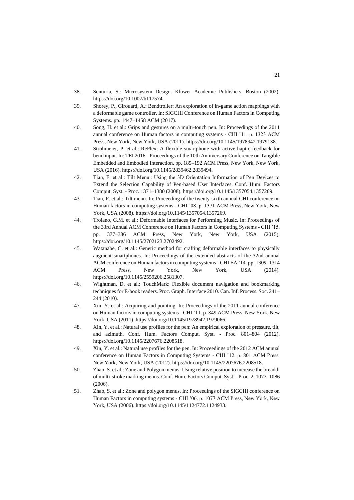- 38. Senturia, S.: Microsystem Design. Kluwer Academic Publishers, Boston (2002). https://doi.org/10.1007/b117574.
- 39. Shorey, P., Girouard, A.: Bendtroller: An exploration of in-game action mappings with a deformable game controller. In: SIGCHI Conference on Human Factors in Computing Systems. pp. 1447–1458 ACM (2017).
- 40. Song, H. et al.: Grips and gestures on a multi-touch pen. In: Proceedings of the 2011 annual conference on Human factors in computing systems - CHI '11. p. 1323 ACM Press, New York, New York, USA (2011). https://doi.org/10.1145/1978942.1979138.
- 41. Strohmeier, P. et al.: ReFlex: A flexible smartphone with active haptic feedback for bend input. In: TEI 2016 - Proceedings of the 10th Anniversary Conference on Tangible Embedded and Embodied Interaction. pp. 185–192 ACM Press, New York, New York, USA (2016). https://doi.org/10.1145/2839462.2839494.
- 42. Tian, F. et al.: Tilt Menu : Using the 3D Orientation Information of Pen Devices to Extend the Selection Capability of Pen-based User Interfaces. Conf. Hum. Factors Comput. Syst. - Proc. 1371–1380 (2008). https://doi.org/10.1145/1357054.1357269.
- 43. Tian, F. et al.: Tilt menu. In: Proceeding of the twenty-sixth annual CHI conference on Human factors in computing systems - CHI '08. p. 1371 ACM Press, New York, New York, USA (2008). https://doi.org/10.1145/1357054.1357269.
- 44. Troiano, G.M. et al.: Deformable Interfaces for Performing Music. In: Proceedings of the 33rd Annual ACM Conference on Human Factors in Computing Systems - CHI '15. pp. 377–386 ACM Press, New York, New York, USA (2015). https://doi.org/10.1145/2702123.2702492.
- 45. Watanabe, C. et al.: Generic method for crafting deformable interfaces to physically augment smartphones. In: Proceedings of the extended abstracts of the 32nd annual ACM conference on Human factors in computing systems - CHI EA '14. pp. 1309–1314 ACM Press, New York, New York, USA (2014). https://doi.org/10.1145/2559206.2581307.
- 46. Wightman, D. et al.: TouchMark: Flexible document navigation and bookmarking techniques for E-book readers. Proc. Graph. Interface 2010. Can. Inf. Process. Soc. 241– 244 (2010).
- 47. Xin, Y. et al.: Acquiring and pointing. In: Proceedings of the 2011 annual conference on Human factors in computing systems - CHI '11. p. 849 ACM Press, New York, New York, USA (2011). https://doi.org/10.1145/1978942.1979066.
- 48. Xin, Y. et al.: Natural use profiles for the pen: An empirical exploration of pressure, tilt, and azimuth. Conf. Hum. Factors Comput. Syst. - Proc. 801–804 (2012). https://doi.org/10.1145/2207676.2208518.
- 49. Xin, Y. et al.: Natural use profiles for the pen. In: Proceedings of the 2012 ACM annual conference on Human Factors in Computing Systems - CHI '12. p. 801 ACM Press, New York, New York, USA (2012). https://doi.org/10.1145/2207676.2208518.
- 50. Zhao, S. et al.: Zone and Polygon menus: Using relative position to increase the breadth of multi-stroke marking menus. Conf. Hum. Factors Comput. Syst. - Proc. 2, 1077–1086  $(2006).$
- 51. Zhao, S. et al.: Zone and polygon menus. In: Proceedings of the SIGCHI conference on Human Factors in computing systems - CHI '06. p. 1077 ACM Press, New York, New York, USA (2006). https://doi.org/10.1145/1124772.1124933.